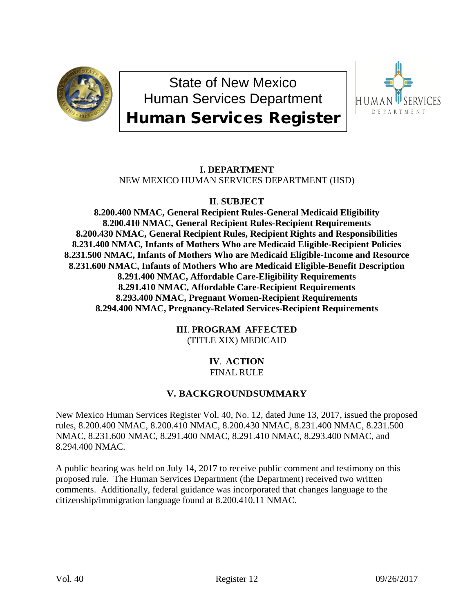

State of New Mexico Human Services Department Human Services Register



# **I. DEPARTMENT** NEW MEXICO HUMAN SERVICES DEPARTMENT (HSD)

# **II**. **SUBJECT**

**8.200.400 NMAC, General Recipient Rules-General Medicaid Eligibility 8.200.410 NMAC, General Recipient Rules-Recipient Requirements 8.200.430 NMAC, General Recipient Rules, Recipient Rights and Responsibilities 8.231.400 NMAC, Infants of Mothers Who are Medicaid Eligible-Recipient Policies 8.231.500 NMAC, Infants of Mothers Who are Medicaid Eligible-Income and Resource 8.231.600 NMAC, Infants of Mothers Who are Medicaid Eligible-Benefit Description 8.291.400 NMAC, Affordable Care-Eligibility Requirements 8.291.410 NMAC, Affordable Care-Recipient Requirements 8.293.400 NMAC, Pregnant Women-Recipient Requirements 8.294.400 NMAC, Pregnancy-Related Services-Recipient Requirements**

> **III**. **PROGRAM AFFECTED** (TITLE XIX) MEDICAID

# **IV**. **ACTION** FINAL RULE

# **V. BACKGROUNDSUMMARY**

New Mexico Human Services Register Vol. 40, No. 12, dated June 13, 2017, issued the proposed rules, 8.200.400 NMAC, 8.200.410 NMAC, 8.200.430 NMAC, 8.231.400 NMAC, 8.231.500 NMAC, 8.231.600 NMAC, 8.291.400 NMAC, 8.291.410 NMAC, 8.293.400 NMAC, and 8.294.400 NMAC.

A public hearing was held on July 14, 2017 to receive public comment and testimony on this proposed rule. The Human Services Department (the Department) received two written comments. Additionally, federal guidance was incorporated that changes language to the citizenship/immigration language found at 8.200.410.11 NMAC.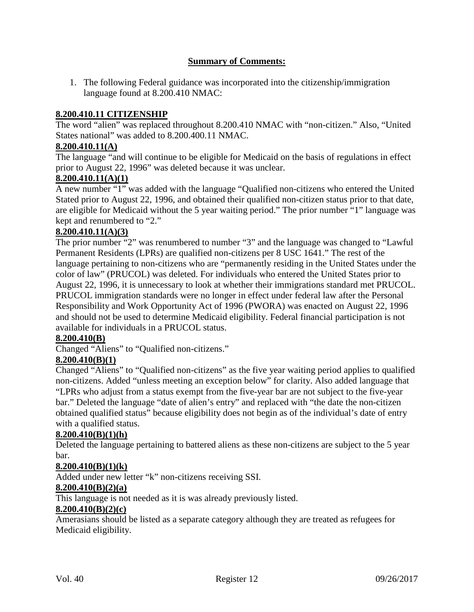## **Summary of Comments:**

1. The following Federal guidance was incorporated into the citizenship/immigration language found at 8.200.410 NMAC:

### **8.200.410.11 CITIZENSHIP**

The word "alien" was replaced throughout 8.200.410 NMAC with "non-citizen." Also, "United States national" was added to 8.200.400.11 NMAC.

### **8.200.410.11(A)**

The language "and will continue to be eligible for Medicaid on the basis of regulations in effect prior to August 22, 1996" was deleted because it was unclear.

### **8.200.410.11(A)(1)**

A new number "1" was added with the language "Qualified non-citizens who entered the United Stated prior to August 22, 1996, and obtained their qualified non-citizen status prior to that date, are eligible for Medicaid without the 5 year waiting period." The prior number "1" language was kept and renumbered to "2."

### **8.200.410.11(A)(3)**

The prior number "2" was renumbered to number "3" and the language was changed to "Lawful Permanent Residents (LPRs) are qualified non-citizens per 8 USC 1641." The rest of the language pertaining to non-citizens who are "permanently residing in the United States under the color of law" (PRUCOL) was deleted. For individuals who entered the United States prior to August 22, 1996, it is unnecessary to look at whether their immigrations standard met PRUCOL. PRUCOL immigration standards were no longer in effect under federal law after the Personal Responsibility and Work Opportunity Act of 1996 (PWORA) was enacted on August 22, 1996 and should not be used to determine Medicaid eligibility. Federal financial participation is not available for individuals in a PRUCOL status.

#### **8.200.410(B)**

Changed "Aliens" to "Qualified non-citizens."

#### **8.200.410(B)(1)**

Changed "Aliens" to "Qualified non-citizens" as the five year waiting period applies to qualified non-citizens. Added "unless meeting an exception below" for clarity. Also added language that "LPRs who adjust from a status exempt from the five-year bar are not subject to the five-year bar." Deleted the language "date of alien's entry" and replaced with "the date the non-citizen obtained qualified status" because eligibility does not begin as of the individual's date of entry with a qualified status.

#### **8.200.410(B)(1)(h)**

Deleted the language pertaining to battered aliens as these non-citizens are subject to the 5 year bar.

#### **8.200.410(B)(1)(k)**

Added under new letter "k" non-citizens receiving SSI.

#### **8.200.410(B)(2)(a)**

This language is not needed as it is was already previously listed.

### **8.200.410(B)(2)(c)**

Amerasians should be listed as a separate category although they are treated as refugees for Medicaid eligibility.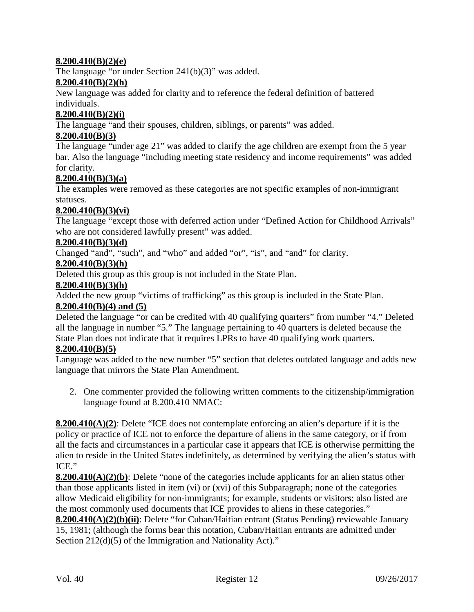## **8.200.410(B)(2)(e)**

The language "or under Section 241(b)(3)" was added.

#### **8.200.410(B)(2)(h)**

New language was added for clarity and to reference the federal definition of battered individuals.

#### **8.200.410(B)(2)(i)**

The language "and their spouses, children, siblings, or parents" was added.

### **8.200.410(B)(3)**

The language "under age 21" was added to clarify the age children are exempt from the 5 year bar. Also the language "including meeting state residency and income requirements" was added for clarity.

### **8.200.410(B)(3)(a)**

The examples were removed as these categories are not specific examples of non-immigrant statuses.

### **8.200.410(B)(3)(vi)**

The language "except those with deferred action under "Defined Action for Childhood Arrivals" who are not considered lawfully present" was added.

### **8.200.410(B)(3)(d)**

Changed "and", "such", and "who" and added "or", "is", and "and" for clarity.

### **8.200.410(B)(3)(h)**

Deleted this group as this group is not included in the State Plan.

### **8.200.410(B)(3)(h)**

Added the new group "victims of trafficking" as this group is included in the State Plan.

#### **8.200.410(B)(4) and (5)**

Deleted the language "or can be credited with 40 qualifying quarters" from number "4." Deleted all the language in number "5." The language pertaining to 40 quarters is deleted because the State Plan does not indicate that it requires LPRs to have 40 qualifying work quarters.

#### **8.200.410(B)(5)**

Language was added to the new number "5" section that deletes outdated language and adds new language that mirrors the State Plan Amendment.

2. One commenter provided the following written comments to the citizenship/immigration language found at 8.200.410 NMAC:

**8.200.410(A)(2)**: Delete "ICE does not contemplate enforcing an alien's departure if it is the policy or practice of ICE not to enforce the departure of aliens in the same category, or if from all the facts and circumstances in a particular case it appears that ICE is otherwise permitting the alien to reside in the United States indefinitely, as determined by verifying the alien's status with ICE."

**8.200.410(A)(2)(b)**: Delete "none of the categories include applicants for an alien status other than those applicants listed in item (vi) or (xvi) of this Subparagraph; none of the categories allow Medicaid eligibility for non-immigrants; for example, students or visitors; also listed are the most commonly used documents that ICE provides to aliens in these categories."

**8.200.410(A)(2)(b)(ii)**: Delete "for Cuban/Haitian entrant (Status Pending) reviewable January 15, 1981; (although the forms bear this notation, Cuban/Haitian entrants are admitted under Section 212(d)(5) of the Immigration and Nationality Act)."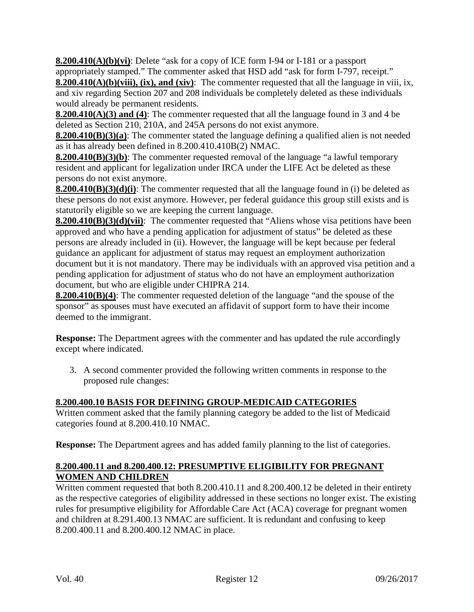**8.200.410(A)(b)(vi)**: Delete "ask for a copy of ICE form I-94 or I-181 or a passport appropriately stamped." The commenter asked that HSD add "ask for form I-797, receipt."

**8.200.410(A)(b)(viii), (ix), and (xiv)**: The commenter requested that all the language in viii, ix, and xiv regarding Section 207 and 208 individuals be completely deleted as these individuals would already be permanent residents.

**8.200.410(A)(3) and (4)**: The commenter requested that all the language found in 3 and 4 be deleted as Section 210, 210A, and 245A persons do not exist anymore.

**8.200.410(B)(3)(a)**: The commenter stated the language defining a qualified alien is not needed as it has already been defined in 8.200.410.410B(2) NMAC.

**8.200.410(B)(3)(b)**: The commenter requested removal of the language "a lawful temporary resident and applicant for legalization under IRCA under the LIFE Act be deleted as these persons do not exist anymore.

**8.200.410(B)(3)(d)(i)**: The commenter requested that all the language found in (i) be deleted as these persons do not exist anymore. However, per federal guidance this group still exists and is statutorily eligible so we are keeping the current language.

**8.200.410(B)(3)(d)(vii)**: The commenter requested that "Aliens whose visa petitions have been approved and who have a pending application for adjustment of status" be deleted as these persons are already included in (ii). However, the language will be kept because per federal guidance an applicant for adjustment of status may request an employment authorization document but it is not mandatory. There may be individuals with an approved visa petition and a pending application for adjustment of status who do not have an employment authorization document, but who are eligible under CHIPRA 214.

**8.200.410(B)(4)**: The commenter requested deletion of the language "and the spouse of the sponsor" as spouses must have executed an affidavit of support form to have their income deemed to the immigrant.

**Response:** The Department agrees with the commenter and has updated the rule accordingly except where indicated.

3. A second commenter provided the following written comments in response to the proposed rule changes:

# **8.200.400.10 BASIS FOR DEFINING GROUP-MEDICAID CATEGORIES**

Written comment asked that the family planning category be added to the list of Medicaid categories found at 8.200.410.10 NMAC.

**Response:** The Department agrees and has added family planning to the list of categories.

## **8.200.400.11 and 8.200.400.12: PRESUMPTIVE ELIGIBILITY FOR PREGNANT WOMEN AND CHILDREN**

Written comment requested that both 8.200.410.11 and 8.200.400.12 be deleted in their entirety as the respective categories of eligibility addressed in these sections no longer exist. The existing rules for presumptive eligibility for Affordable Care Act (ACA) coverage for pregnant women and children at 8.291.400.13 NMAC are sufficient. It is redundant and confusing to keep 8.200.400.11 and 8.200.400.12 NMAC in place.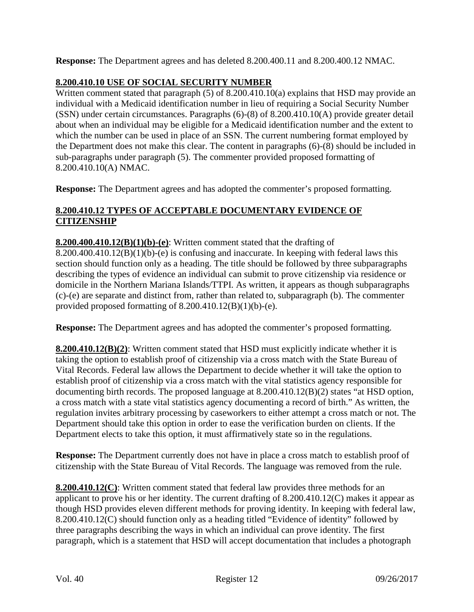**Response:** The Department agrees and has deleted 8.200.400.11 and 8.200.400.12 NMAC.

# **8.200.410.10 USE OF SOCIAL SECURITY NUMBER**

Written comment stated that paragraph (5) of 8.200.410.10(a) explains that HSD may provide an individual with a Medicaid identification number in lieu of requiring a Social Security Number (SSN) under certain circumstances. Paragraphs (6)-(8) of 8.200.410.10(A) provide greater detail about when an individual may be eligible for a Medicaid identification number and the extent to which the number can be used in place of an SSN. The current numbering format employed by the Department does not make this clear. The content in paragraphs (6)-(8) should be included in sub-paragraphs under paragraph (5). The commenter provided proposed formatting of 8.200.410.10(A) NMAC.

**Response:** The Department agrees and has adopted the commenter's proposed formatting.

## **8.200.410.12 TYPES OF ACCEPTABLE DOCUMENTARY EVIDENCE OF CITIZENSHIP**

**8.200.400.410.12(B)(1)(b)-(e)**: Written comment stated that the drafting of  $8.200.400.410.12(B)(1)(b)$ -(e) is confusing and inaccurate. In keeping with federal laws this section should function only as a heading. The title should be followed by three subparagraphs describing the types of evidence an individual can submit to prove citizenship via residence or domicile in the Northern Mariana Islands/TTPI. As written, it appears as though subparagraphs (c)-(e) are separate and distinct from, rather than related to, subparagraph (b). The commenter provided proposed formatting of  $8.200.410.12(B)(1)(b)-(e)$ .

**Response:** The Department agrees and has adopted the commenter's proposed formatting.

**8.200.410.12(B)(2)**: Written comment stated that HSD must explicitly indicate whether it is taking the option to establish proof of citizenship via a cross match with the State Bureau of Vital Records. Federal law allows the Department to decide whether it will take the option to establish proof of citizenship via a cross match with the vital statistics agency responsible for documenting birth records. The proposed language at 8.200.410.12(B)(2) states "at HSD option, a cross match with a state vital statistics agency documenting a record of birth." As written, the regulation invites arbitrary processing by caseworkers to either attempt a cross match or not. The Department should take this option in order to ease the verification burden on clients. If the Department elects to take this option, it must affirmatively state so in the regulations.

**Response:** The Department currently does not have in place a cross match to establish proof of citizenship with the State Bureau of Vital Records. The language was removed from the rule.

**8.200.410.12(C)**: Written comment stated that federal law provides three methods for an applicant to prove his or her identity. The current drafting of 8.200.410.12(C) makes it appear as though HSD provides eleven different methods for proving identity. In keeping with federal law, 8.200.410.12(C) should function only as a heading titled "Evidence of identity" followed by three paragraphs describing the ways in which an individual can prove identity. The first paragraph, which is a statement that HSD will accept documentation that includes a photograph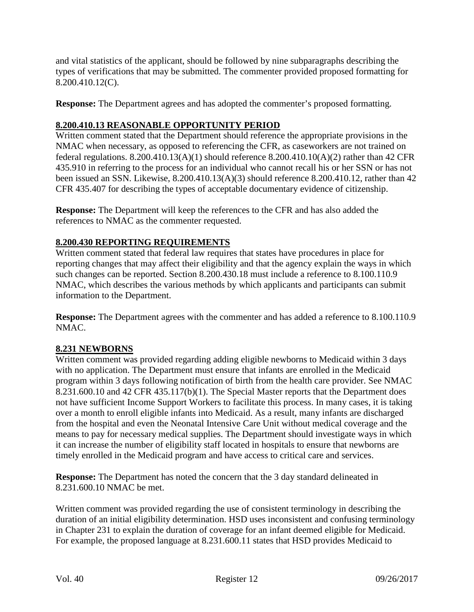and vital statistics of the applicant, should be followed by nine subparagraphs describing the types of verifications that may be submitted. The commenter provided proposed formatting for 8.200.410.12(C).

**Response:** The Department agrees and has adopted the commenter's proposed formatting.

## **8.200.410.13 REASONABLE OPPORTUNITY PERIOD**

Written comment stated that the Department should reference the appropriate provisions in the NMAC when necessary, as opposed to referencing the CFR, as caseworkers are not trained on federal regulations.  $8.200.410.13(A)(1)$  should reference  $8.200.410.10(A)(2)$  rather than 42 CFR 435.910 in referring to the process for an individual who cannot recall his or her SSN or has not been issued an SSN. Likewise, 8.200.410.13(A)(3) should reference 8.200.410.12, rather than 42 CFR 435.407 for describing the types of acceptable documentary evidence of citizenship.

**Response:** The Department will keep the references to the CFR and has also added the references to NMAC as the commenter requested.

## **8.200.430 REPORTING REQUIREMENTS**

Written comment stated that federal law requires that states have procedures in place for reporting changes that may affect their eligibility and that the agency explain the ways in which such changes can be reported. Section 8.200.430.18 must include a reference to 8.100.110.9 NMAC, which describes the various methods by which applicants and participants can submit information to the Department.

**Response:** The Department agrees with the commenter and has added a reference to 8.100.110.9 NMAC.

## **8.231 NEWBORNS**

Written comment was provided regarding adding eligible newborns to Medicaid within 3 days with no application. The Department must ensure that infants are enrolled in the Medicaid program within 3 days following notification of birth from the health care provider. See NMAC 8.231.600.10 and 42 CFR 435.117(b)(1). The Special Master reports that the Department does not have sufficient Income Support Workers to facilitate this process. In many cases, it is taking over a month to enroll eligible infants into Medicaid. As a result, many infants are discharged from the hospital and even the Neonatal Intensive Care Unit without medical coverage and the means to pay for necessary medical supplies. The Department should investigate ways in which it can increase the number of eligibility staff located in hospitals to ensure that newborns are timely enrolled in the Medicaid program and have access to critical care and services.

**Response:** The Department has noted the concern that the 3 day standard delineated in 8.231.600.10 NMAC be met.

Written comment was provided regarding the use of consistent terminology in describing the duration of an initial eligibility determination. HSD uses inconsistent and confusing terminology in Chapter 231 to explain the duration of coverage for an infant deemed eligible for Medicaid. For example, the proposed language at 8.231.600.11 states that HSD provides Medicaid to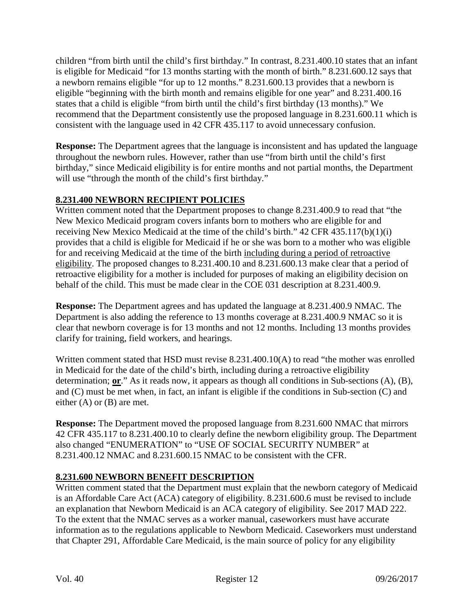children "from birth until the child's first birthday." In contrast, 8.231.400.10 states that an infant is eligible for Medicaid "for 13 months starting with the month of birth." 8.231.600.12 says that a newborn remains eligible "for up to 12 months." 8.231.600.13 provides that a newborn is eligible "beginning with the birth month and remains eligible for one year" and 8.231.400.16 states that a child is eligible "from birth until the child's first birthday (13 months)." We recommend that the Department consistently use the proposed language in 8.231.600.11 which is consistent with the language used in 42 CFR 435.117 to avoid unnecessary confusion.

**Response:** The Department agrees that the language is inconsistent and has updated the language throughout the newborn rules. However, rather than use "from birth until the child's first birthday," since Medicaid eligibility is for entire months and not partial months, the Department will use "through the month of the child's first birthday."

# **8.231.400 NEWBORN RECIPIENT POLICIES**

Written comment noted that the Department proposes to change 8.231.400.9 to read that "the New Mexico Medicaid program covers infants born to mothers who are eligible for and receiving New Mexico Medicaid at the time of the child's birth." 42 CFR 435.117(b)(1)(i) provides that a child is eligible for Medicaid if he or she was born to a mother who was eligible for and receiving Medicaid at the time of the birth including during a period of retroactive eligibility. The proposed changes to 8.231.400.10 and 8.231.600.13 make clear that a period of retroactive eligibility for a mother is included for purposes of making an eligibility decision on behalf of the child. This must be made clear in the COE 031 description at 8.231.400.9.

**Response:** The Department agrees and has updated the language at 8.231.400.9 NMAC. The Department is also adding the reference to 13 months coverage at 8.231.400.9 NMAC so it is clear that newborn coverage is for 13 months and not 12 months. Including 13 months provides clarify for training, field workers, and hearings.

Written comment stated that HSD must revise 8.231.400.10(A) to read "the mother was enrolled in Medicaid for the date of the child's birth, including during a retroactive eligibility determination; **or**." As it reads now, it appears as though all conditions in Sub-sections (A), (B), and (C) must be met when, in fact, an infant is eligible if the conditions in Sub-section (C) and either (A) or (B) are met.

**Response:** The Department moved the proposed language from 8.231.600 NMAC that mirrors 42 CFR 435.117 to 8.231.400.10 to clearly define the newborn eligibility group. The Department also changed "ENUMERATION" to "USE OF SOCIAL SECURITY NUMBER" at 8.231.400.12 NMAC and 8.231.600.15 NMAC to be consistent with the CFR.

# **8.231.600 NEWBORN BENEFIT DESCRIPTION**

Written comment stated that the Department must explain that the newborn category of Medicaid is an Affordable Care Act (ACA) category of eligibility. 8.231.600.6 must be revised to include an explanation that Newborn Medicaid is an ACA category of eligibility. See 2017 MAD 222. To the extent that the NMAC serves as a worker manual, caseworkers must have accurate information as to the regulations applicable to Newborn Medicaid. Caseworkers must understand that Chapter 291, Affordable Care Medicaid, is the main source of policy for any eligibility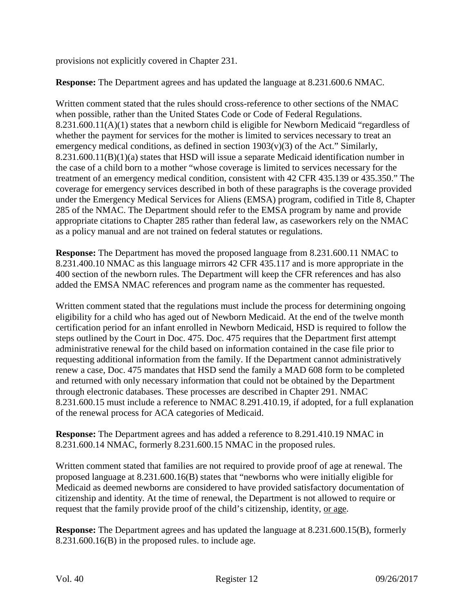provisions not explicitly covered in Chapter 231.

**Response:** The Department agrees and has updated the language at 8.231.600.6 NMAC.

Written comment stated that the rules should cross-reference to other sections of the NMAC when possible, rather than the United States Code or Code of Federal Regulations. 8.231.600.11(A)(1) states that a newborn child is eligible for Newborn Medicaid "regardless of whether the payment for services for the mother is limited to services necessary to treat an emergency medical conditions, as defined in section  $1903(v)(3)$  of the Act." Similarly, 8.231.600.11(B)(1)(a) states that HSD will issue a separate Medicaid identification number in the case of a child born to a mother "whose coverage is limited to services necessary for the treatment of an emergency medical condition, consistent with 42 CFR 435.139 or 435.350." The coverage for emergency services described in both of these paragraphs is the coverage provided under the Emergency Medical Services for Aliens (EMSA) program, codified in Title 8, Chapter 285 of the NMAC. The Department should refer to the EMSA program by name and provide appropriate citations to Chapter 285 rather than federal law, as caseworkers rely on the NMAC as a policy manual and are not trained on federal statutes or regulations.

**Response:** The Department has moved the proposed language from 8.231.600.11 NMAC to 8.231.400.10 NMAC as this language mirrors 42 CFR 435.117 and is more appropriate in the 400 section of the newborn rules. The Department will keep the CFR references and has also added the EMSA NMAC references and program name as the commenter has requested.

Written comment stated that the regulations must include the process for determining ongoing eligibility for a child who has aged out of Newborn Medicaid. At the end of the twelve month certification period for an infant enrolled in Newborn Medicaid, HSD is required to follow the steps outlined by the Court in Doc. 475. Doc. 475 requires that the Department first attempt administrative renewal for the child based on information contained in the case file prior to requesting additional information from the family. If the Department cannot administratively renew a case, Doc. 475 mandates that HSD send the family a MAD 608 form to be completed and returned with only necessary information that could not be obtained by the Department through electronic databases. These processes are described in Chapter 291. NMAC 8.231.600.15 must include a reference to NMAC 8.291.410.19, if adopted, for a full explanation of the renewal process for ACA categories of Medicaid.

**Response:** The Department agrees and has added a reference to 8.291.410.19 NMAC in 8.231.600.14 NMAC, formerly 8.231.600.15 NMAC in the proposed rules.

Written comment stated that families are not required to provide proof of age at renewal. The proposed language at 8.231.600.16(B) states that "newborns who were initially eligible for Medicaid as deemed newborns are considered to have provided satisfactory documentation of citizenship and identity. At the time of renewal, the Department is not allowed to require or request that the family provide proof of the child's citizenship, identity, or age.

**Response:** The Department agrees and has updated the language at 8.231.600.15(B), formerly 8.231.600.16(B) in the proposed rules. to include age.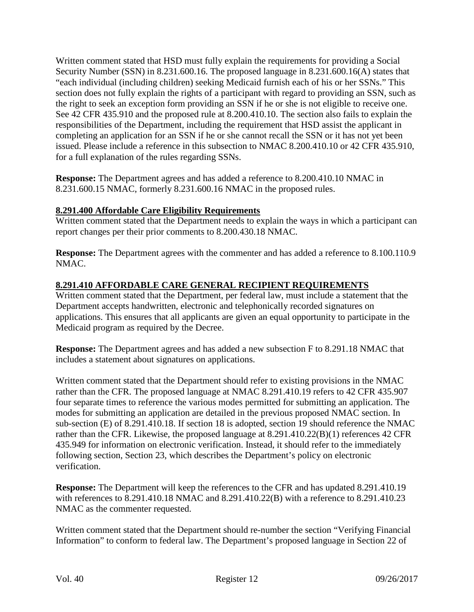Written comment stated that HSD must fully explain the requirements for providing a Social Security Number (SSN) in 8.231.600.16. The proposed language in 8.231.600.16(A) states that "each individual (including children) seeking Medicaid furnish each of his or her SSNs." This section does not fully explain the rights of a participant with regard to providing an SSN, such as the right to seek an exception form providing an SSN if he or she is not eligible to receive one. See 42 CFR 435.910 and the proposed rule at 8.200.410.10. The section also fails to explain the responsibilities of the Department, including the requirement that HSD assist the applicant in completing an application for an SSN if he or she cannot recall the SSN or it has not yet been issued. Please include a reference in this subsection to NMAC 8.200.410.10 or 42 CFR 435.910, for a full explanation of the rules regarding SSNs.

**Response:** The Department agrees and has added a reference to 8.200.410.10 NMAC in 8.231.600.15 NMAC, formerly 8.231.600.16 NMAC in the proposed rules.

## **8.291.400 Affordable Care Eligibility Requirements**

Written comment stated that the Department needs to explain the ways in which a participant can report changes per their prior comments to 8.200.430.18 NMAC.

**Response:** The Department agrees with the commenter and has added a reference to 8.100.110.9 NMAC.

## **8.291.410 AFFORDABLE CARE GENERAL RECIPIENT REQUIREMENTS**

Written comment stated that the Department, per federal law, must include a statement that the Department accepts handwritten, electronic and telephonically recorded signatures on applications. This ensures that all applicants are given an equal opportunity to participate in the Medicaid program as required by the Decree.

**Response:** The Department agrees and has added a new subsection F to 8.291.18 NMAC that includes a statement about signatures on applications.

Written comment stated that the Department should refer to existing provisions in the NMAC rather than the CFR. The proposed language at NMAC 8.291.410.19 refers to 42 CFR 435.907 four separate times to reference the various modes permitted for submitting an application. The modes for submitting an application are detailed in the previous proposed NMAC section. In sub-section (E) of 8.291.410.18. If section 18 is adopted, section 19 should reference the NMAC rather than the CFR. Likewise, the proposed language at 8.291.410.22(B)(1) references 42 CFR 435.949 for information on electronic verification. Instead, it should refer to the immediately following section, Section 23, which describes the Department's policy on electronic verification.

**Response:** The Department will keep the references to the CFR and has updated 8.291.410.19 with references to 8.291.410.18 NMAC and 8.291.410.22(B) with a reference to 8.291.410.23 NMAC as the commenter requested.

Written comment stated that the Department should re-number the section "Verifying Financial Information" to conform to federal law. The Department's proposed language in Section 22 of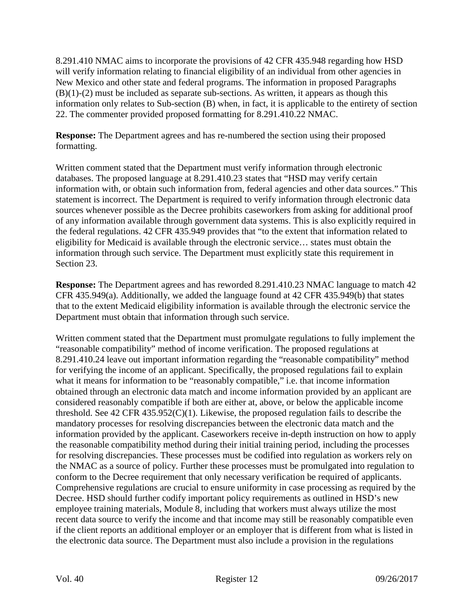8.291.410 NMAC aims to incorporate the provisions of 42 CFR 435.948 regarding how HSD will verify information relating to financial eligibility of an individual from other agencies in New Mexico and other state and federal programs. The information in proposed Paragraphs  $(B)(1)-(2)$  must be included as separate sub-sections. As written, it appears as though this information only relates to Sub-section (B) when, in fact, it is applicable to the entirety of section 22. The commenter provided proposed formatting for 8.291.410.22 NMAC.

**Response:** The Department agrees and has re-numbered the section using their proposed formatting.

Written comment stated that the Department must verify information through electronic databases. The proposed language at 8.291.410.23 states that "HSD may verify certain information with, or obtain such information from, federal agencies and other data sources." This statement is incorrect. The Department is required to verify information through electronic data sources whenever possible as the Decree prohibits caseworkers from asking for additional proof of any information available through government data systems. This is also explicitly required in the federal regulations. 42 CFR 435.949 provides that "to the extent that information related to eligibility for Medicaid is available through the electronic service… states must obtain the information through such service. The Department must explicitly state this requirement in Section 23.

**Response:** The Department agrees and has reworded 8.291.410.23 NMAC language to match 42 CFR 435.949(a). Additionally, we added the language found at 42 CFR 435.949(b) that states that to the extent Medicaid eligibility information is available through the electronic service the Department must obtain that information through such service.

Written comment stated that the Department must promulgate regulations to fully implement the "reasonable compatibility" method of income verification. The proposed regulations at 8.291.410.24 leave out important information regarding the "reasonable compatibility" method for verifying the income of an applicant. Specifically, the proposed regulations fail to explain what it means for information to be "reasonably compatible," i.e. that income information obtained through an electronic data match and income information provided by an applicant are considered reasonably compatible if both are either at, above, or below the applicable income threshold. See 42 CFR 435.952(C)(1). Likewise, the proposed regulation fails to describe the mandatory processes for resolving discrepancies between the electronic data match and the information provided by the applicant. Caseworkers receive in-depth instruction on how to apply the reasonable compatibility method during their initial training period, including the processes for resolving discrepancies. These processes must be codified into regulation as workers rely on the NMAC as a source of policy. Further these processes must be promulgated into regulation to conform to the Decree requirement that only necessary verification be required of applicants. Comprehensive regulations are crucial to ensure uniformity in case processing as required by the Decree. HSD should further codify important policy requirements as outlined in HSD's new employee training materials, Module 8, including that workers must always utilize the most recent data source to verify the income and that income may still be reasonably compatible even if the client reports an additional employer or an employer that is different from what is listed in the electronic data source. The Department must also include a provision in the regulations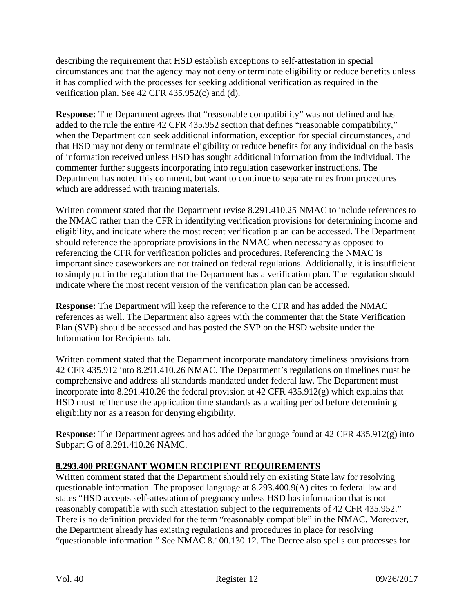describing the requirement that HSD establish exceptions to self-attestation in special circumstances and that the agency may not deny or terminate eligibility or reduce benefits unless it has complied with the processes for seeking additional verification as required in the verification plan. See 42 CFR 435.952(c) and (d).

**Response:** The Department agrees that "reasonable compatibility" was not defined and has added to the rule the entire 42 CFR 435.952 section that defines "reasonable compatibility," when the Department can seek additional information, exception for special circumstances, and that HSD may not deny or terminate eligibility or reduce benefits for any individual on the basis of information received unless HSD has sought additional information from the individual. The commenter further suggests incorporating into regulation caseworker instructions. The Department has noted this comment, but want to continue to separate rules from procedures which are addressed with training materials.

Written comment stated that the Department revise 8.291.410.25 NMAC to include references to the NMAC rather than the CFR in identifying verification provisions for determining income and eligibility, and indicate where the most recent verification plan can be accessed. The Department should reference the appropriate provisions in the NMAC when necessary as opposed to referencing the CFR for verification policies and procedures. Referencing the NMAC is important since caseworkers are not trained on federal regulations. Additionally, it is insufficient to simply put in the regulation that the Department has a verification plan. The regulation should indicate where the most recent version of the verification plan can be accessed.

**Response:** The Department will keep the reference to the CFR and has added the NMAC references as well. The Department also agrees with the commenter that the State Verification Plan (SVP) should be accessed and has posted the SVP on the HSD website under the Information for Recipients tab.

Written comment stated that the Department incorporate mandatory timeliness provisions from 42 CFR 435.912 into 8.291.410.26 NMAC. The Department's regulations on timelines must be comprehensive and address all standards mandated under federal law. The Department must incorporate into 8.291.410.26 the federal provision at 42 CFR 435.912(g) which explains that HSD must neither use the application time standards as a waiting period before determining eligibility nor as a reason for denying eligibility.

**Response:** The Department agrees and has added the language found at 42 CFR 435.912(g) into Subpart G of 8.291.410.26 NAMC.

# **8.293.400 PREGNANT WOMEN RECIPIENT REQUIREMENTS**

Written comment stated that the Department should rely on existing State law for resolving questionable information. The proposed language at 8.293.400.9(A) cites to federal law and states "HSD accepts self-attestation of pregnancy unless HSD has information that is not reasonably compatible with such attestation subject to the requirements of 42 CFR 435.952." There is no definition provided for the term "reasonably compatible" in the NMAC. Moreover, the Department already has existing regulations and procedures in place for resolving "questionable information." See NMAC 8.100.130.12. The Decree also spells out processes for